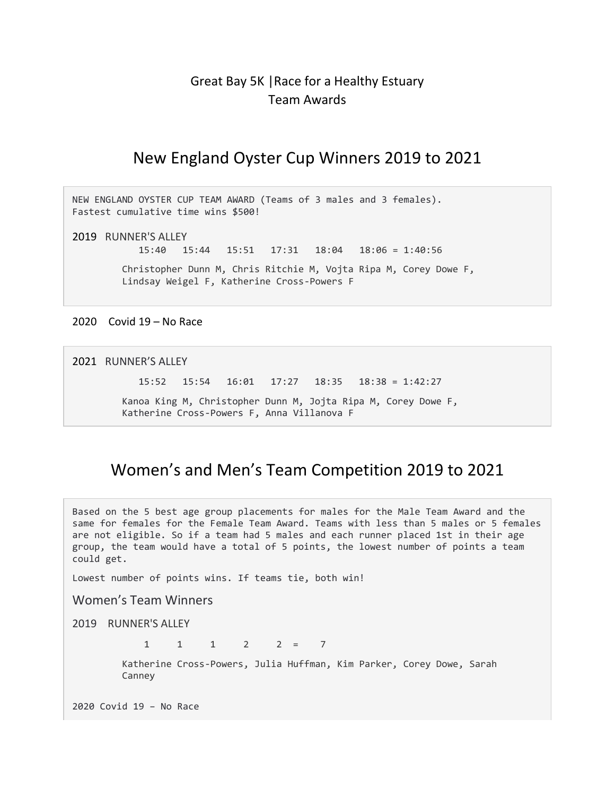## Great Bay 5K |Race for a Healthy Estuary Team Awards

## New England Oyster Cup Winners 2019 to 2021

NEW ENGLAND OYSTER CUP TEAM AWARD (Teams of 3 males and 3 females). Fastest cumulative time wins \$500!

2019 RUNNER'S ALLEY

15:40 15:44 15:51 17:31 18:04 18:06 = 1:40:56

 Christopher Dunn M, Chris Ritchie M, Vojta Ripa M, Corey Dowe F, Lindsay Weigel F, Katherine Cross-Powers F

2020 Covid 19 – No Race

2021 RUNNER'S ALLEY

15:52 15:54 16:01 17:27 18:35 18:38 = 1:42:27

 Kanoa King M, Christopher Dunn M, Jojta Ripa M, Corey Dowe F, Katherine Cross-Powers F, Anna Villanova F

## Women's and Men's Team Competition 2019 to 2021

Based on the 5 best age group placements for males for the Male Team Award and the same for females for the Female Team Award. Teams with less than 5 males or 5 females are not eligible. So if a team had 5 males and each runner placed 1st in their age group, the team would have a total of 5 points, the lowest number of points a team could get.

Lowest number of points wins. If teams tie, both win!

Women's Team Winners

2019 RUNNER'S ALLEY

 $1 \t1 \t1 \t2 \t2 = 7$ 

 Katherine Cross-Powers, Julia Huffman, Kim Parker, Corey Dowe, Sarah Canney

2020 Covid 19 – No Race